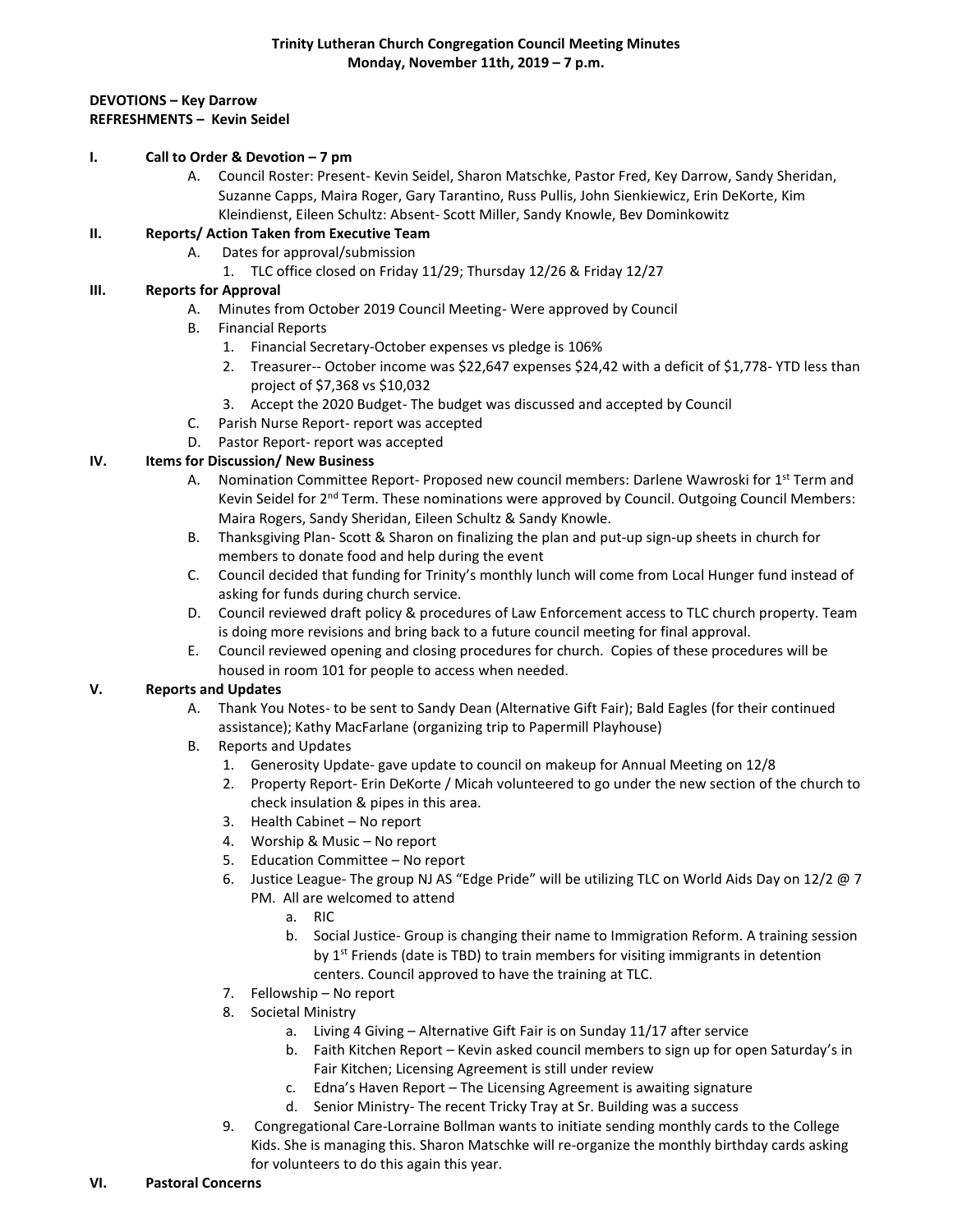#### **DEVOTIONS – Key Darrow REFRESHMENTS – Kevin Seidel**

#### **I. Call to Order & Devotion – 7 pm**

A. Council Roster: Present- Kevin Seidel, Sharon Matschke, Pastor Fred, Key Darrow, Sandy Sheridan, Suzanne Capps, Maira Roger, Gary Tarantino, Russ Pullis, John Sienkiewicz, Erin DeKorte, Kim Kleindienst, Eileen Schultz: Absent- Scott Miller, Sandy Knowle, Bev Dominkowitz

#### **II. Reports/ Action Taken from Executive Team**

- A. Dates for approval/submission
	- 1. TLC office closed on Friday 11/29; Thursday 12/26 & Friday 12/27

# **III. Reports for Approval**

- A. Minutes from October 2019 Council Meeting- Were approved by Council
- B. Financial Reports
	- 1. Financial Secretary-October expenses vs pledge is 106%
	- 2. Treasurer-- October income was \$22,647 expenses \$24,42 with a deficit of \$1,778- YTD less than project of \$7,368 vs \$10,032
	- 3. Accept the 2020 Budget- The budget was discussed and accepted by Council
- C. Parish Nurse Report- report was accepted
- D. Pastor Report- report was accepted

# **IV. Items for Discussion/ New Business**

- A. Nomination Committee Report- Proposed new council members: Darlene Wawroski for 1<sup>st</sup> Term and Kevin Seidel for 2<sup>nd</sup> Term. These nominations were approved by Council. Outgoing Council Members: Maira Rogers, Sandy Sheridan, Eileen Schultz & Sandy Knowle.
- B. Thanksgiving Plan- Scott & Sharon on finalizing the plan and put-up sign-up sheets in church for members to donate food and help during the event
- C. Council decided that funding for Trinity's monthly lunch will come from Local Hunger fund instead of asking for funds during church service.
- D. Council reviewed draft policy & procedures of Law Enforcement access to TLC church property. Team is doing more revisions and bring back to a future council meeting for final approval.
- E. Council reviewed opening and closing procedures for church. Copies of these procedures will be housed in room 101 for people to access when needed.

# **V. Reports and Updates**

- A. Thank You Notes- to be sent to Sandy Dean (Alternative Gift Fair); Bald Eagles (for their continued assistance); Kathy MacFarlane (organizing trip to Papermill Playhouse)
- B. Reports and Updates
	- 1. Generosity Update- gave update to council on makeup for Annual Meeting on 12/8
	- 2. Property Report- Erin DeKorte / Micah volunteered to go under the new section of the church to check insulation & pipes in this area.
	- 3. Health Cabinet No report
	- 4. Worship & Music No report
	- 5. Education Committee No report
	- 6. Justice League- The group NJ AS "Edge Pride" will be utilizing TLC on World Aids Day on 12/2 @ 7 PM. All are welcomed to attend
		- a. RIC
		- b. Social Justice- Group is changing their name to Immigration Reform. A training session by  $1<sup>st</sup>$  Friends (date is TBD) to train members for visiting immigrants in detention centers. Council approved to have the training at TLC.
	- 7. Fellowship No report
	- 8. Societal Ministry
		- a. Living 4 Giving Alternative Gift Fair is on Sunday 11/17 after service
		- b. Faith Kitchen Report Kevin asked council members to sign up for open Saturday's in Fair Kitchen; Licensing Agreement is still under review
		- c. Edna's Haven Report The Licensing Agreement is awaiting signature
		- d. Senior Ministry- The recent Tricky Tray at Sr. Building was a success
	- 9. Congregational Care-Lorraine Bollman wants to initiate sending monthly cards to the College Kids. She is managing this. Sharon Matschke will re-organize the monthly birthday cards asking for volunteers to do this again this year.